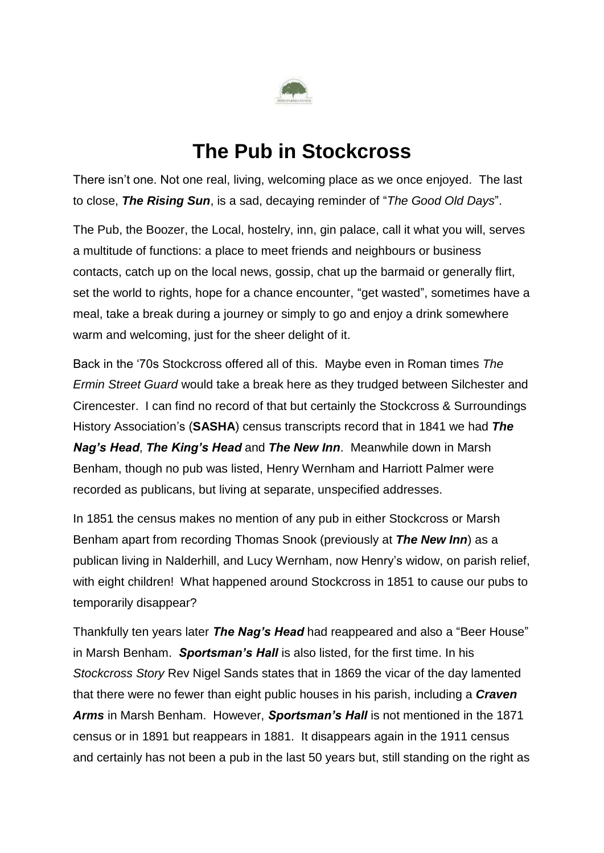

## **The Pub in Stockcross**

There isn't one. Not one real, living, welcoming place as we once enjoyed. The last to close, *The Rising Sun*, is a sad, decaying reminder of "*The Good Old Days*".

The Pub, the Boozer, the Local, hostelry, inn, gin palace, call it what you will, serves a multitude of functions: a place to meet friends and neighbours or business contacts, catch up on the local news, gossip, chat up the barmaid or generally flirt, set the world to rights, hope for a chance encounter, "get wasted", sometimes have a meal, take a break during a journey or simply to go and enjoy a drink somewhere warm and welcoming, just for the sheer delight of it.

Back in the '70s Stockcross offered all of this. Maybe even in Roman times *The Ermin Street Guard* would take a break here as they trudged between Silchester and Cirencester. I can find no record of that but certainly the Stockcross & Surroundings History Association's (**SASHA**) census transcripts record that in 1841 we had *The Nag's Head*, *The King's Head* and *The New Inn*. Meanwhile down in Marsh Benham, though no pub was listed, Henry Wernham and Harriott Palmer were recorded as publicans, but living at separate, unspecified addresses.

In 1851 the census makes no mention of any pub in either Stockcross or Marsh Benham apart from recording Thomas Snook (previously at *The New Inn*) as a publican living in Nalderhill, and Lucy Wernham, now Henry's widow, on parish relief, with eight children! What happened around Stockcross in 1851 to cause our pubs to temporarily disappear?

Thankfully ten years later *The Nag's Head* had reappeared and also a "Beer House" in Marsh Benham. *Sportsman's Hall* is also listed, for the first time. In his *Stockcross Story* Rev Nigel Sands states that in 1869 the vicar of the day lamented that there were no fewer than eight public houses in his parish, including a *Craven Arms* in Marsh Benham. However, *Sportsman's Hall* is not mentioned in the 1871 census or in 1891 but reappears in 1881. It disappears again in the 1911 census and certainly has not been a pub in the last 50 years but, still standing on the right as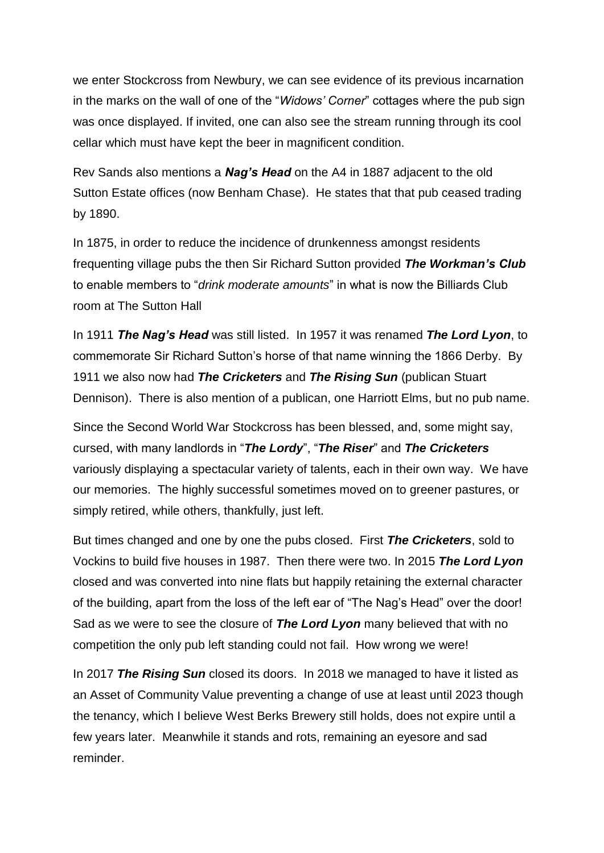we enter Stockcross from Newbury, we can see evidence of its previous incarnation in the marks on the wall of one of the "*Widows' Corner*" cottages where the pub sign was once displayed. If invited, one can also see the stream running through its cool cellar which must have kept the beer in magnificent condition.

Rev Sands also mentions a *Nag's Head* on the A4 in 1887 adjacent to the old Sutton Estate offices (now Benham Chase). He states that that pub ceased trading by 1890.

In 1875, in order to reduce the incidence of drunkenness amongst residents frequenting village pubs the then Sir Richard Sutton provided *The Workman's Club* to enable members to "*drink moderate amounts*" in what is now the Billiards Club room at The Sutton Hall

In 1911 *The Nag's Head* was still listed. In 1957 it was renamed *The Lord Lyon*, to commemorate Sir Richard Sutton's horse of that name winning the 1866 Derby. By 1911 we also now had *The Cricketers* and *The Rising Sun* (publican Stuart Dennison). There is also mention of a publican, one Harriott Elms, but no pub name.

Since the Second World War Stockcross has been blessed, and, some might say, cursed, with many landlords in "*The Lordy*", "*The Riser*" and *The Cricketers* variously displaying a spectacular variety of talents, each in their own way. We have our memories. The highly successful sometimes moved on to greener pastures, or simply retired, while others, thankfully, just left.

But times changed and one by one the pubs closed. First *The Cricketers*, sold to Vockins to build five houses in 1987. Then there were two. In 2015 *The Lord Lyon* closed and was converted into nine flats but happily retaining the external character of the building, apart from the loss of the left ear of "The Nag's Head" over the door! Sad as we were to see the closure of *The Lord Lyon* many believed that with no competition the only pub left standing could not fail. How wrong we were!

In 2017 *The Rising Sun* closed its doors. In 2018 we managed to have it listed as an Asset of Community Value preventing a change of use at least until 2023 though the tenancy, which I believe West Berks Brewery still holds, does not expire until a few years later. Meanwhile it stands and rots, remaining an eyesore and sad reminder.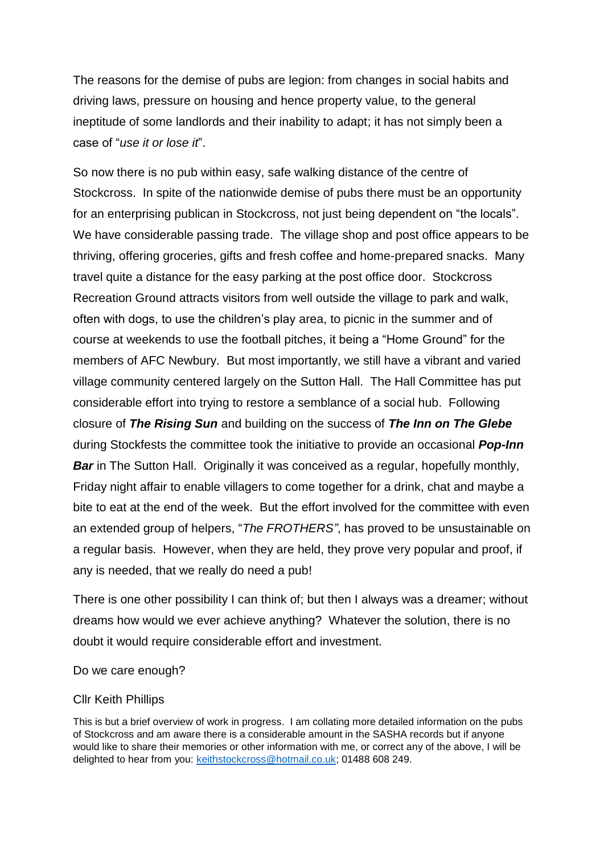The reasons for the demise of pubs are legion: from changes in social habits and driving laws, pressure on housing and hence property value, to the general ineptitude of some landlords and their inability to adapt; it has not simply been a case of "*use it or lose it*".

So now there is no pub within easy, safe walking distance of the centre of Stockcross. In spite of the nationwide demise of pubs there must be an opportunity for an enterprising publican in Stockcross, not just being dependent on "the locals". We have considerable passing trade. The village shop and post office appears to be thriving, offering groceries, gifts and fresh coffee and home-prepared snacks. Many travel quite a distance for the easy parking at the post office door. Stockcross Recreation Ground attracts visitors from well outside the village to park and walk, often with dogs, to use the children's play area, to picnic in the summer and of course at weekends to use the football pitches, it being a "Home Ground" for the members of AFC Newbury. But most importantly, we still have a vibrant and varied village community centered largely on the Sutton Hall. The Hall Committee has put considerable effort into trying to restore a semblance of a social hub. Following closure of *The Rising Sun* and building on the success of *The Inn on The Glebe* during Stockfests the committee took the initiative to provide an occasional *Pop-Inn* **Bar** in The Sutton Hall. Originally it was conceived as a regular, hopefully monthly, Friday night affair to enable villagers to come together for a drink, chat and maybe a bite to eat at the end of the week. But the effort involved for the committee with even an extended group of helpers, "*The FROTHERS"*, has proved to be unsustainable on a regular basis. However, when they are held, they prove very popular and proof, if any is needed, that we really do need a pub!

There is one other possibility I can think of; but then I always was a dreamer; without dreams how would we ever achieve anything? Whatever the solution, there is no doubt it would require considerable effort and investment.

Do we care enough?

## Cllr Keith Phillips

This is but a brief overview of work in progress. I am collating more detailed information on the pubs of Stockcross and am aware there is a considerable amount in the SASHA records but if anyone would like to share their memories or other information with me, or correct any of the above, I will be delighted to hear from you: [keithstockcross@hotmail.co.uk;](mailto:keithstockcross@hotmail.co.uk) 01488 608 249.